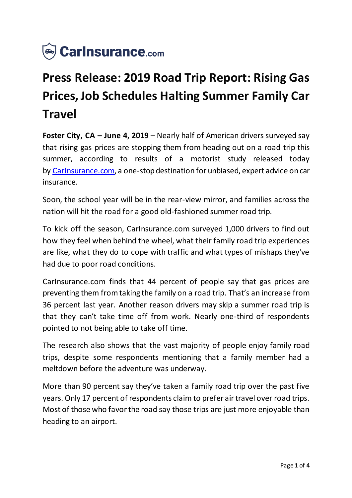

# **Press Release: 2019 Road Trip Report: Rising Gas Prices, Job Schedules Halting Summer Family Car Travel**

**Foster City, CA – June 4, 2019** – Nearly half of American drivers surveyed say that rising gas prices are stopping them from heading out on a road trip this summer, according to results of a motorist study released today by [CarInsurance.com,](https://www.carinsurance.com/) a one-stop destination for unbiased, expert advice on car insurance.

Soon, the school year will be in the rear-view mirror, and families across the nation will hit the road for a good old-fashioned summer road trip.

To kick off the season, CarInsurance.com surveyed 1,000 drivers to find out how they feel when behind the wheel, what their family road trip experiences are like, what they do to cope with traffic and what types of mishaps they've had due to poor road conditions.

CarInsurance.com finds that 44 percent of people say that gas prices are preventing them from taking the family on a road trip. That's an increase from 36 percent last year. Another reason drivers may skip a summer road trip is that they can't take time off from work. Nearly one-third of respondents pointed to not being able to take off time.

The research also shows that the vast majority of people enjoy family road trips, despite some respondents mentioning that a family member had a meltdown before the adventure was underway.

More than 90 percent say they've taken a family road trip over the past five years. Only 17 percent of respondents claim to prefer air travel over road trips. Most of those who favor the road say those trips are just more enjoyable than heading to an airport.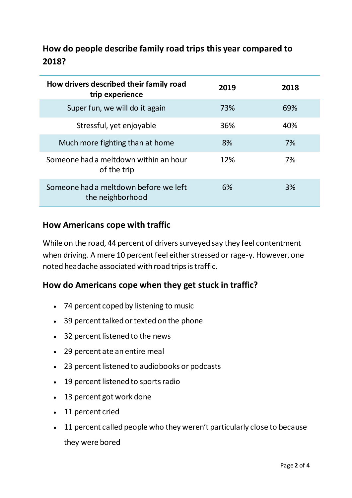# **How do people describe family road trips this year compared to 2018?**

| How drivers described their family road<br>trip experience | 2019 | 2018 |
|------------------------------------------------------------|------|------|
| Super fun, we will do it again                             | 73%  | 69%  |
| Stressful, yet enjoyable                                   | 36%  | 40%  |
| Much more fighting than at home                            | 8%   | 7%   |
| Someone had a meltdown within an hour<br>of the trip       | 12%  | 7%   |
| Someone had a meltdown before we left<br>the neighborhood  | 6%   | 3%   |

### **How Americans cope with traffic**

While on the road, 44 percent of drivers surveyed say they feel contentment when driving. A mere 10 percent feel either stressed or rage-y. However, one noted headache associated with road trips is traffic.

## **How do Americans cope when they get stuck in traffic?**

- 74 percent coped by listening to music
- 39 percent talked or texted on the phone
- 32 percent listened to the news
- 29 percent ate an entire meal
- 23 percent listened to audiobooks or podcasts
- 19 percent listened to sports radio
- 13 percent got work done
- 11 percent cried
- 11 percent called people who they weren't particularly close to because they were bored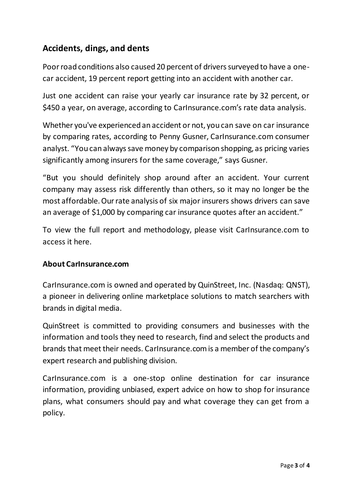## **Accidents, dings, and dents**

Poor road conditions also caused 20 percent of drivers surveyed to have a onecar accident, 19 percent report getting into an accident with another car.

Just one accident can raise your yearly car insurance rate by 32 percent, or \$450 a year, on average, according to CarInsurance.com's rate data analysis.

Whether you've experienced an accident or not, you can save on car insurance by comparing rates, according to Penny Gusner, CarInsurance.com consumer analyst. "You can always save money by comparison shopping, as pricing varies significantly among insurers for the same coverage," says Gusner.

"But you should definitely shop around after an accident. Your current company may assess risk differently than others, so it may no longer be the most affordable. Our rate analysis of six major insurers shows drivers can save an average of \$1,000 by comparing car insurance quotes after an accident."

To view the full report and methodology, please visit CarInsurance.com to access it [here](https://www.carinsurance.com/Articles/2019-family-road-trip-report).

#### **About CarInsurance.com**

[CarInsurance.com](https://www.carinsurance.com/) is owned and operated by QuinStreet, Inc. (Nasdaq: [QNST\)](https://www.nasdaq.com/market-activity/stocks/qnst), a pioneer in delivering online marketplace solutions to match searchers with brands in digital media.

QuinStreet is committed to providing consumers and businesses with the information and tools they need to research, find and select the products and brands that meet their needs. CarInsurance.com is a member of the company's expert research and publishing division.

CarInsurance.com is a one-stop online destination for car insurance information, providing unbiased, expert advice on how to shop for insurance plans, what consumers should pay and what coverage they can get from a policy.